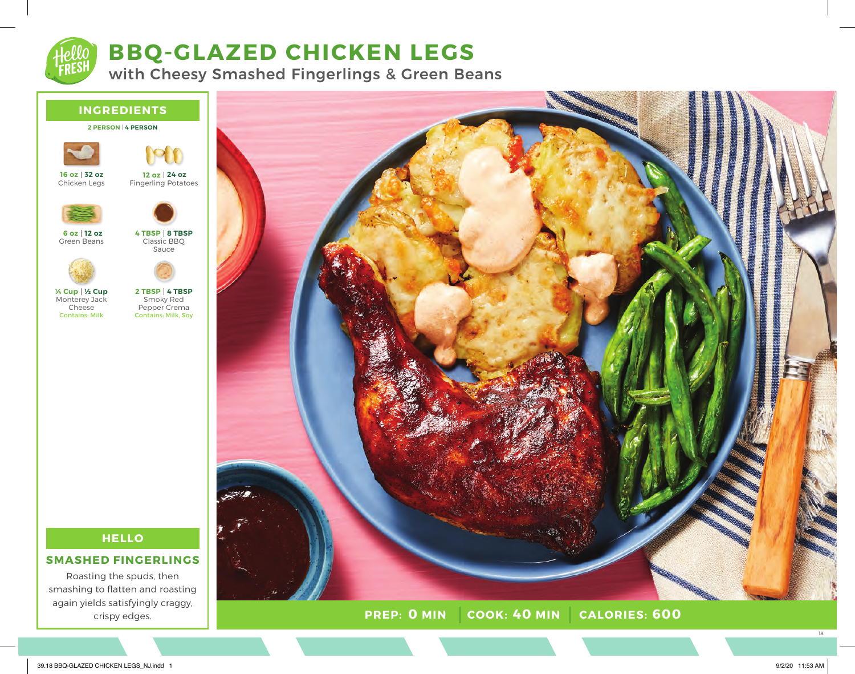

# **BBQ-GLAZED CHICKEN LEGS**

with Cheesy Smashed Fingerlings & Green Beans





Fingerling Potatoes **24 oz 12 oz**



Green Beans **12 oz 6 oz**





Monterey Jack Cheese Contains: Milk **½ Cup ¼ Cup**

Smoky Red Pepper Crema Contains: Milk, Soy **4 TBSP 2 TBSP**

Sauce



### **SMASHED FINGERLINGS**

Roasting the spuds, then smashing to flatten and roasting again yields satisfyingly craggy, crispy edges.



39.18 BBQ-GLAZED CHICKEN LEGS\_NJ.indd 1 9/2/20 11:53 AM

18